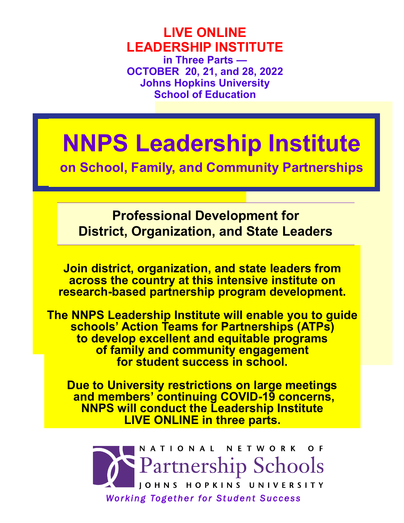**LIVE ONLINE LEADERSHIP INSTITUTE in Three Parts — OCTOBER 20, 21, and 28, 2022 Johns Hopkins University School of Education** 

# **NNPS Leadership Institute**

**on School, Family, and Community Partnerships**

**Professional Development for District, Organization, and State Leaders** 

**Join district, organization, and state leaders from across the country at this intensive institute on research-based partnership program development.** 

**The NNPS Leadership Institute will enable you to guide schools' Action Teams for Partnerships (ATPs) to develop excellent and equitable programs of family and community engagement for student success in school.**

**Due to University restrictions on large meetings and members' continuing COVID-19 concerns, NNPS will conduct the Leadership Institute LIVE ONLINE in three parts.** 

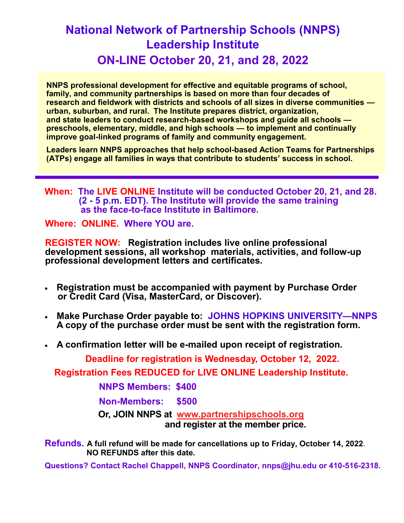## **National Network of Partnership Schools (NNPS) Leadership Institute ON-LINE October 20, 21, and 28, 2022**

**NNPS professional development for effective and equitable programs of school, family, and community partnerships is based on more than four decades of research and fieldwork with districts and schools of all sizes in diverse communities urban, suburban, and rural. The Institute prepares district, organization, and state leaders to conduct research-based workshops and guide all schools preschools, elementary, middle, and high schools — to implement and continually improve goal-linked programs of family and community engagement.** 

**Leaders learn NNPS approaches that help school-based Action Teams for Partnerships (ATPs) engage all families in ways that contribute to students' success in school.** 

**When: The LIVE ONLINE Institute will be conducted October 20, 21, and 28. (2 - 5 p.m. EDT). The Institute will provide the same training as the face-to-face Institute in Baltimore.**

**Where: ONLINE. Where YOU are.**

**REGISTER NOW: Registration includes live online professional development sessions, all workshop materials, activities, and follow-up professional development letters and certificates.** 

- **Registration must be accompanied with payment by Purchase Order or Credit Card (Visa, MasterCard, or Discover).**
- **Make Purchase Order payable to: JOHNS HOPKINS UNIVERSITY—NNPS A copy of the purchase order must be sent with the registration form.**
- **A confirmation letter will be e-mailed upon receipt of registration.**

**Deadline for registration is Wednesday, October 12, 2022.** 

**Registration Fees REDUCED for LIVE ONLINE Leadership Institute.**

**NNPS Members: \$400** 

**Non-Members: \$500** 

 **Or, JOIN NNPS at [www.partnershipschools.org](http://www.partnershipschools.org) and register at the member price.** 

**Refunds. A full refund will be made for cancellations up to Friday, October 14, 2022. NO REFUNDS after this date.** 

**Questions? Contact Rachel Chappell, NNPS Coordinator, nnps@jhu.edu or 410-516-2318.**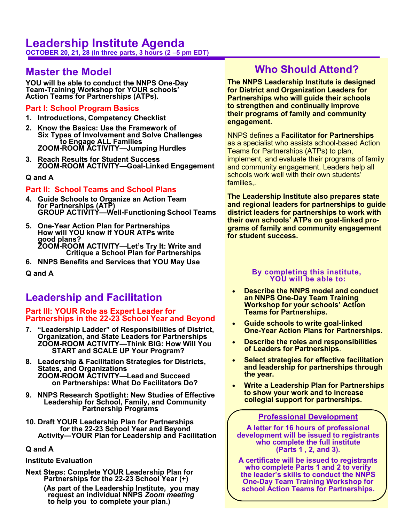### **Master the Model**

**YOU will be able to conduct the NNPS One-Day Team-Training Workshop for YOUR schools' Action Teams for Partnerships (ATPs).**

#### **Part I: School Program Basics**

- **1. Introductions, Competency Checklist**
- **2. Know the Basics: Use the Framework of Six Types of Involvement and Solve Challenges to Engage ALL Families ZOOM-ROOM ACTIVITY—Jumping Hurdles**
- **3. Reach Results for Student Success ZOOM-ROOM ACTIVITY—Goal-Linked Engagement**

#### **Q and A**

#### **Part II: School Teams and School Plans**

- **4. Guide Schools to Organize an Action Team for Partnerships (ATP) GROUP ACTIVITY—Well-Functioning School Teams**
- **5. One-Year Action Plan for Partnerships How will YOU know if YOUR ATPs write good plans? ZOOM-ROOM ACTIVITY—Let's Try It: Write and Critique a School Plan for Partnerships**
- **6. NNPS Benefits and Services that YOU May Use**

**Q and A**

### **Leadership and Facilitation**

#### **Part III: YOUR Role as Expert Leader for Partnerships in the 22-23 School Year and Beyond**

- **7. "Leadership Ladder" of Responsibilities of District, Organization, and State Leaders for Partnerships ZOOM-ROOM ACTIVITY—Think BIG: How Will You START and SCALE UP Your Program?**
- **8. Leadership & Facilitation Strategies for Districts, States, and Organizations ZOOM-ROOM ACTIVITY—Lead and Succeed on Partnerships: What Do Facilitators Do?**
- **9. NNPS Research Spotlight: New Studies of Effective Leadership for School, Family, and Community Partnership Programs**
- **10. Draft YOUR Leadership Plan for Partnerships for the 22-23 School Year and Beyond Activity—YOUR Plan for Leadership and Facilitation**

#### **Q and A**

#### **Institute Evaluation**

**Next Steps: Complete YOUR Leadership Plan for Partnerships for the 22-23 School Year (+) (As part of the Leadership Institute, you may**

 **request an individual NNPS** *Zoom meeting*  **to help you to complete your plan.)** 

## **Who Should Attend?**

**The NNPS Leadership Institute is designed for District and Organization Leaders for Partnerships who will guide their schools to strengthen and continually improve their programs of family and community engagement.** 

NNPS defines a **Facilitator for Partnerships** as a specialist who assists school-based Action Teams for Partnerships (ATPs) to plan, implement, and evaluate their programs of family and community engagement. Leaders help all schools work well with their own students' families,.

**The Leadership Institute also prepares state and regional leaders for partnerships to guide district leaders for partnerships to work with their own schools' ATPs on goal-linked programs of family and community engagement for student success.** 

#### **By completing this institute, YOU will be able to:**

- **Describe the NNPS model and conduct an NNPS One-Day Team Training Workshop for your schools' Action Teams for Partnerships.**
- **Guide schools to write goal-linked One-Year Action Plans for Partnerships.**
- **Describe the roles and responsibilities of Leaders for Partnerships**.
- **Select strategies for effective facilitation and leadership for partnerships through the year.**
- **Write a Leadership Plan for Partnerships to show your work and to increase collegial support for partnerships.**

#### **Professional Development**

**A letter for 16 hours of professional development will be issued to registrants who complete the full institute (Parts 1 , 2, and 3).** 

**A certificate will be issued to registrants who complete Parts 1 and 2 to verify the leader's skills to conduct the NNPS One-Day Team Training Workshop for school Action Teams for Partnerships.**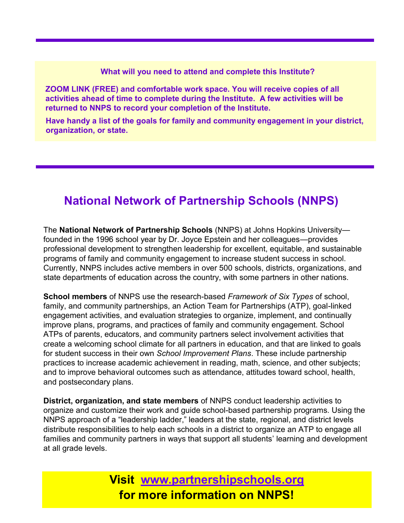**What will you need to attend and complete this Institute?** 

**ZOOM LINK (FREE) and comfortable work space. You will receive copies of all activities ahead of time to complete during the Institute. A few activities will be returned to NNPS to record your completion of the Institute.** 

 **Have handy a list of the goals for family and community engagement in your district, organization, or state.** 

## **National Network of Partnership Schools (NNPS)**

The **National Network of Partnership Schools** (NNPS) at Johns Hopkins University founded in the 1996 school year by Dr. Joyce Epstein and her colleagues—provides professional development to strengthen leadership for excellent, equitable, and sustainable programs of family and community engagement to increase student success in school. Currently, NNPS includes active members in over 500 schools, districts, organizations, and state departments of education across the country, with some partners in other nations.

**School members** of NNPS use the research-based *Framework of Six Types* of school, family, and community partnerships, an Action Team for Partnerships (ATP), goal-linked engagement activities, and evaluation strategies to organize, implement, and continually improve plans, programs, and practices of family and community engagement. School ATPs of parents, educators, and community partners select involvement activities that create a welcoming school climate for all partners in education, and that are linked to goals for student success in their own *School Improvement Plans*. These include partnership practices to increase academic achievement in reading, math, science, and other subjects; and to improve behavioral outcomes such as attendance, attitudes toward school, health, and postsecondary plans.

**District, organization, and state members** of NNPS conduct leadership activities to organize and customize their work and guide school-based partnership programs. Using the NNPS approach of a "leadership ladder," leaders at the state, regional, and district levels distribute responsibilities to help each schools in a district to organize an ATP to engage all families and community partners in ways that support all students' learning and development at all grade levels.

> **Visit [www.partnershipschools.org](http://www.partnershipschools.org) for more information on NNPS!**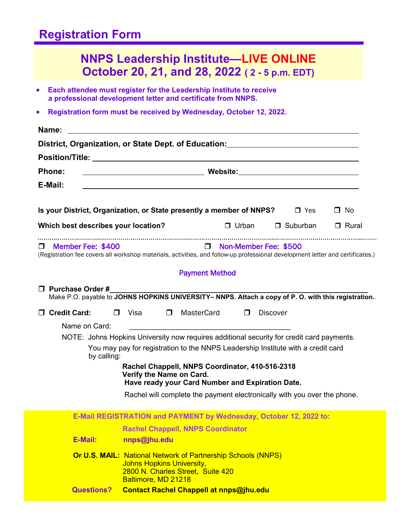## **Registration Form**

|                                                          | <b>NNPS Leadership Institute—LIVE ONLINE</b><br>October 20, 21, and 28, 2022 (2 - 5 p.m. EDT)                                                                                                                                                                                                                                                                         |                                                |                            |           |
|----------------------------------------------------------|-----------------------------------------------------------------------------------------------------------------------------------------------------------------------------------------------------------------------------------------------------------------------------------------------------------------------------------------------------------------------|------------------------------------------------|----------------------------|-----------|
| $\bullet$                                                | Each attendee must register for the Leadership Institute to receive                                                                                                                                                                                                                                                                                                   |                                                |                            |           |
|                                                          | a professional development letter and certificate from NNPS.                                                                                                                                                                                                                                                                                                          |                                                |                            |           |
| $\bullet$                                                | Registration form must be received by Wednesday, October 12, 2022.                                                                                                                                                                                                                                                                                                    |                                                |                            |           |
| Name:                                                    | <u> 1980 - John Stein, maritan basar menyebarkan banyak di sebagai banyak di sebagai banyak di sebagai banyak di</u>                                                                                                                                                                                                                                                  |                                                |                            |           |
|                                                          | District, Organization, or State Dept. of Education: Network and American Management Construction of District                                                                                                                                                                                                                                                         |                                                |                            |           |
|                                                          |                                                                                                                                                                                                                                                                                                                                                                       |                                                |                            |           |
| Phone:                                                   |                                                                                                                                                                                                                                                                                                                                                                       |                                                |                            |           |
| E-Mail:                                                  |                                                                                                                                                                                                                                                                                                                                                                       |                                                |                            |           |
|                                                          | Is your District, Organization, or State presently a member of NNPS? □ Yes                                                                                                                                                                                                                                                                                            |                                                |                            | $\Box$ No |
| Which best describes your location?                      |                                                                                                                                                                                                                                                                                                                                                                       |                                                | □ Urban □ Suburban □ Rural |           |
| Member Fee: \$400                                        | <u>and the state of the state of the state of the state of the state of the state of the state of the state of the state of the state of the state of the state of the state of the state of the state of the state of the state</u><br>(Registration fee covers all workshop materials, activities, and follow-up professional development letter and certificates.) | Non-Member Fee: \$500<br><b>Payment Method</b> |                            |           |
| $\Box$<br>$\Box$ Purchase Order #<br><b>Credit Card:</b> | Make P.O. payable to JOHNS HOPKINS UNIVERSITY- NNPS. Attach a copy of P. O. with this registration<br>□ MasterCard<br>$\Box$ Visa                                                                                                                                                                                                                                     |                                                | $\Box$ Discover            |           |
| Name on Card:                                            |                                                                                                                                                                                                                                                                                                                                                                       |                                                |                            |           |
|                                                          | NOTE: Johns Hopkins University now requires additional security for credit card payments.<br>You may pay for registration to the NNPS Leadership Institute with a credit card                                                                                                                                                                                         |                                                |                            |           |
| by calling:                                              | Rachel Chappell, NNPS Coordinator, 410-516-2318<br>Verify the Name on Card.<br>Have ready your Card Number and Expiration Date.                                                                                                                                                                                                                                       |                                                |                            |           |
|                                                          | Rachel will complete the payment electronically with you over the phone.                                                                                                                                                                                                                                                                                              |                                                |                            |           |
|                                                          | E-Mail REGISTRATION and PAYMENT by Wednesday, October 12, 2022 to:                                                                                                                                                                                                                                                                                                    |                                                |                            |           |
|                                                          | <b>Rachel Chappell, NNPS Coordinator</b>                                                                                                                                                                                                                                                                                                                              |                                                |                            |           |
| E-Mail:                                                  | nnps@jhu.edu<br><b>Or U.S. MAIL:</b> National Network of Partnership Schools (NNPS)<br><b>Johns Hopkins University,</b><br>2800 N. Charles Street, Suite 420<br>Baltimore, MD 21218                                                                                                                                                                                   |                                                |                            |           |